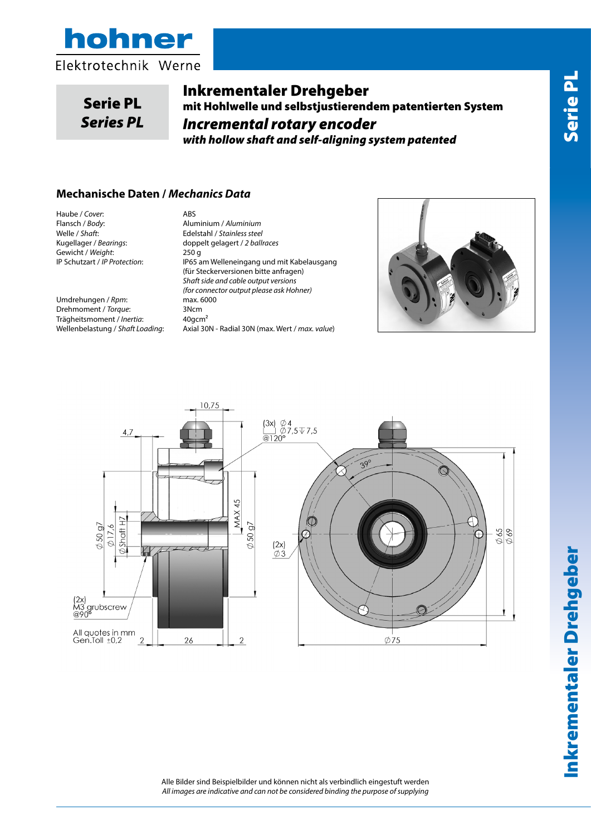

# Serie PL *Series PL*

Inkrementaler Drehgeber mit Hohlwelle und selbstjustierendem patentierten System *Incremental rotary encoder with hollow shaft and self-aligning system patented*

### **Mechanische Daten /** *Mechanics Data*

Haube / *Cover*: ABS<br>Flansch / *Body*: Alur Flansch / *Body*: Aluminium / *Aluminium* Welle / *Shaft*: Edelstahl / *Stainless steel* Gewicht / *Weight*: 250 g<br>IP Schutzart / IP Protection: 1P65 a

Umdrehungen / *Rpm*: max. 6000<br>Drehmoment / *Torque*: 3Ncm Drehmoment / *Torque*: Trägheitsmoment / *Inertia*: 40gcm²

Kugellager / *Bearings*: doppelt gelagert / *2 ballraces* IP65 am Welleneingang und mit Kabelausgang (für Steckerversionen bitte anfragen) *Shaft side and cable output versions (for connector output please ask Hohner)* Wellenbelastung / *Shaft Loading*: Axial 30N - Radial 30N (max. Wert / *max. value*)





Inkrementaler Drehgeber Serie PL Inkrementaler Drehgeber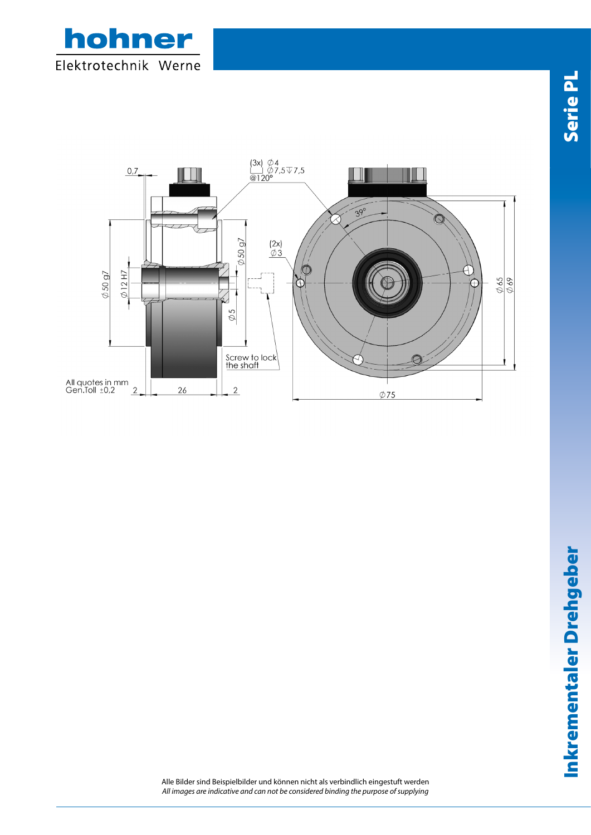



Alle Bilder sind Beispielbilder und können nicht als verbindlich eingestuft werden *All images are indicative and can not be considered binding the purpose of supplying*